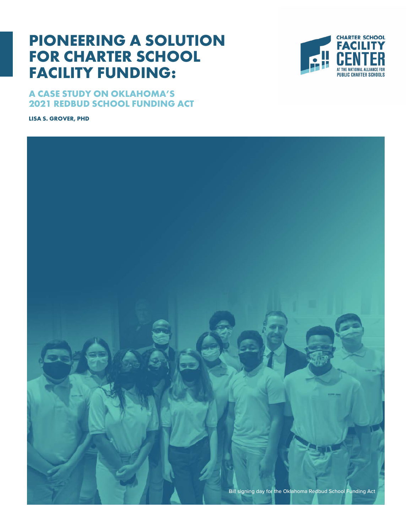# **PIONEERING A SOLUTION FOR CHARTER SCHOOL FACILITY FUNDING:**





**LISA S. GROVER, PHD** 

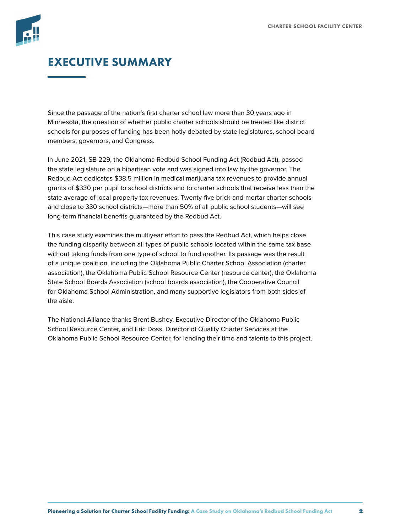

## EXECUTIVE SUMMARY

Since the passage of the nation's first charter school law more than 30 years ago in Minnesota, the question of whether public charter schools should be treated like district schools for purposes of funding has been hotly debated by state legislatures, school board members, governors, and Congress.

In June 2021, SB 229, the Oklahoma Redbud School Funding Act (Redbud Act), passed the state legislature on a bipartisan vote and was signed into law by the governor. The Redbud Act dedicates \$38.5 million in medical marijuana tax revenues to provide annual grants of \$330 per pupil to school districts and to charter schools that receive less than the state average of local property tax revenues. Twenty-five brick-and-mortar charter schools and close to 330 school districts—more than 50% of all public school students—will see long-term financial benefits guaranteed by the Redbud Act.

This case study examines the multiyear effort to pass the Redbud Act, which helps close the funding disparity between all types of public schools located within the same tax base without taking funds from one type of school to fund another. Its passage was the result of a unique coalition, including the Oklahoma Public Charter School Association (charter association), the Oklahoma Public School Resource Center (resource center), the Oklahoma State School Boards Association (school boards association), the Cooperative Council for Oklahoma School Administration, and many supportive legislators from both sides of the aisle.

The National Alliance thanks Brent Bushey, Executive Director of the Oklahoma Public School Resource Center, and Eric Doss, Director of Quality Charter Services at the Oklahoma Public School Resource Center, for lending their time and talents to this project.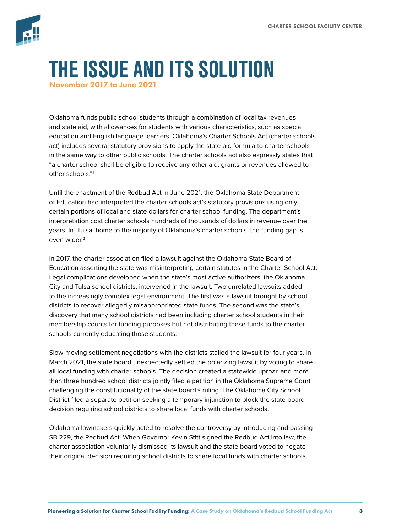

# THE ISSUE AND ITS SOLUTION November 2017 to June 2021

Oklahoma funds public school students through a combination of local tax revenues and state aid, with allowances for students with various characteristics, such as special education and English language learners. Oklahoma's Charter Schools Act (charter schools act) includes several statutory provisions to apply the state aid formula to charter schools in the same way to other public schools. The charter schools act also expressly states that "a charter school shall be eligible to receive any other aid, grants or revenues allowed to other schools."1

Until the enactment of the Redbud Act in June 2021, the Oklahoma State Department of Education had interpreted the charter schools act's statutory provisions using only certain portions of local and state dollars for charter school funding. The department's interpretation cost charter schools hundreds of thousands of dollars in revenue over the years. In Tulsa, home to the majority of Oklahoma's charter schools, the funding gap is even wider.<sup>2</sup>

In 2017, the charter association filed a lawsuit against the Oklahoma State Board of Education asserting the state was misinterpreting certain statutes in the Charter School Act. Legal complications developed when the state's most active authorizers, the Oklahoma City and Tulsa school districts, intervened in the lawsuit. Two unrelated lawsuits added to the increasingly complex legal environment. The first was a lawsuit brought by school districts to recover allegedly misappropriated state funds. The second was the state's discovery that many school districts had been including charter school students in their membership counts for funding purposes but not distributing these funds to the charter schools currently educating those students.

Slow-moving settlement negotiations with the districts stalled the lawsuit for four years. In March 2021, the state board unexpectedly settled the polarizing lawsuit by voting to share all local funding with charter schools. The decision created a statewide uproar, and more than three hundred school districts jointly filed a petition in the Oklahoma Supreme Court challenging the constitutionality of the state board's ruling. The Oklahoma City School District filed a separate petition seeking a temporary injunction to block the state board decision requiring school districts to share local funds with charter schools.

Oklahoma lawmakers quickly acted to resolve the controversy by introducing and passing SB 229, the Redbud Act. When Governor Kevin Stitt signed the Redbud Act into law, the charter association voluntarily dismissed its lawsuit and the state board voted to negate their original decision requiring school districts to share local funds with charter schools.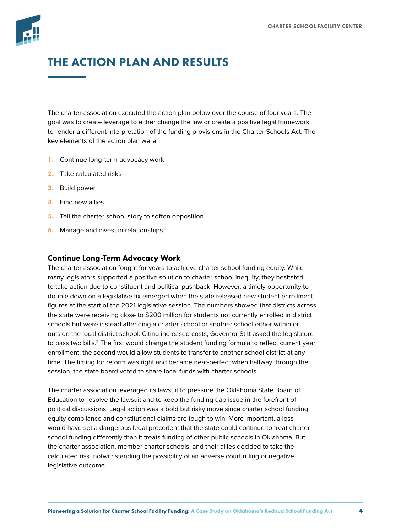

## THE ACTION PLAN AND RESULTS

The charter association executed the action plan below over the course of four years. The goal was to create leverage to either change the law or create a positive legal framework to render a different interpretation of the funding provisions in the Charter Schools Act. The key elements of the action plan were:

- 1. Continue long-term advocacy work
- 2. Take calculated risks
- 3. Build power
- 4. Find new allies
- **5.** Tell the charter school story to soften opposition
- **6.** Manage and invest in relationships

#### Continue Long-Term Advocacy Work

The charter association fought for years to achieve charter school funding equity. While many legislators supported a positive solution to charter school inequity, they hesitated to take action due to constituent and political pushback. However, a timely opportunity to double down on a legislative fix emerged when the state released new student enrollment figures at the start of the 2021 legislative session. The numbers showed that districts across the state were receiving close to \$200 million for students not currently enrolled in district schools but were instead attending a charter school or another school either within or outside the local district school. Citing increased costs, Governor Stitt asked the legislature to pass two bills.<sup>3</sup> The first would change the student funding formula to reflect current year enrollment; the second would allow students to transfer to another school district at any time. The timing for reform was right and became near-perfect when halfway through the session, the state board voted to share local funds with charter schools.

The charter association leveraged its lawsuit to pressure the Oklahoma State Board of Education to resolve the lawsuit and to keep the funding gap issue in the forefront of political discussions. Legal action was a bold but risky move since charter school funding equity compliance and constitutional claims are tough to win. More important, a loss would have set a dangerous legal precedent that the state could continue to treat charter school funding differently than it treats funding of other public schools in Oklahoma. But the charter association, member charter schools, and their allies decided to take the calculated risk, notwithstanding the possibility of an adverse court ruling or negative legislative outcome.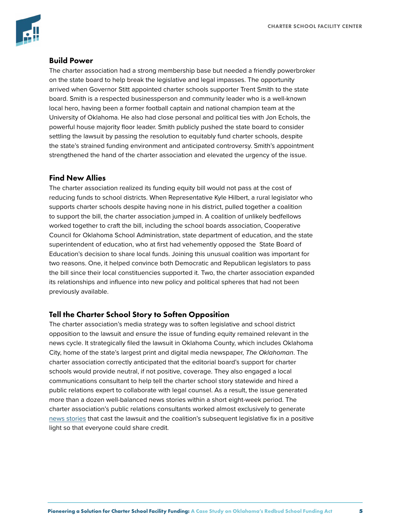

#### Build Power

The charter association had a strong membership base but needed a friendly powerbroker on the state board to help break the legislative and legal impasses. The opportunity arrived when Governor Stitt appointed charter schools supporter Trent Smith to the state board. Smith is a respected businessperson and community leader who is a well-known local hero, having been a former football captain and national champion team at the University of Oklahoma. He also had close personal and political ties with Jon Echols, the powerful house majority floor leader. Smith publicly pushed the state board to consider settling the lawsuit by passing the resolution to equitably fund charter schools, despite the state's strained funding environment and anticipated controversy. Smith's appointment strengthened the hand of the charter association and elevated the urgency of the issue.

#### Find New Allies

The charter association realized its funding equity bill would not pass at the cost of reducing funds to school districts. When Representative Kyle Hilbert, a rural legislator who supports charter schools despite having none in his district, pulled together a coalition to support the bill, the charter association jumped in. A coalition of unlikely bedfellows worked together to craft the bill, including the school boards association, Cooperative Council for Oklahoma School Administration, state department of education, and the state superintendent of education, who at first had vehemently opposed the State Board of Education's decision to share local funds. Joining this unusual coalition was important for two reasons. One, it helped convince both Democratic and Republican legislators to pass the bill since their local constituencies supported it. Two, the charter association expanded its relationships and influence into new policy and political spheres that had not been previously available.

#### Tell the Charter School Story to Soften Opposition

The charter association's media strategy was to soften legislative and school district opposition to the lawsuit and ensure the issue of funding equity remained relevant in the news cycle. It strategically filed the lawsuit in Oklahoma County, which includes Oklahoma City, home of the state's largest print and digital media newspaper, *The Oklahoman*. The charter association correctly anticipated that the editorial board's support for charter schools would provide neutral, if not positive, coverage. They also engaged a local communications consultant to help tell the charter school story statewide and hired a public relations expert to collaborate with legal counsel. As a result, the issue generated more than a dozen well-balanced news stories within a short eight-week period. The charter association's public relations consultants worked almost exclusively to generate [news stories](https://www.kgou.org/education/2021-04-20/redbud-school-funding-act-offers-compromise-in-charter-and-traditional-public-school-money-fight) that cast the lawsuit and the coalition's subsequent legislative fix in a positive light so that everyone could share credit.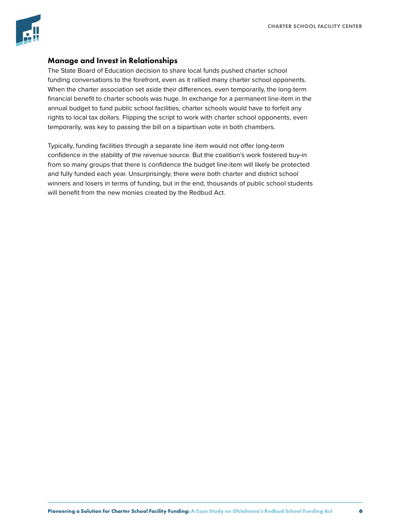

#### Manage and Invest in Relationships

The State Board of Education decision to share local funds pushed charter school funding conversations to the forefront, even as it rallied many charter school opponents. When the charter association set aside their differences, even temporarily, the long-term financial benefit to charter schools was huge. In exchange for a permanent line-item in the annual budget to fund public school facilities, charter schools would have to forfeit any rights to local tax dollars. Flipping the script to work with charter school opponents, even temporarily, was key to passing the bill on a bipartisan vote in both chambers.

Typically, funding facilities through a separate line item would not offer long-term confidence in the stability of the revenue source. But the coalition's work fostered buy-in from so many groups that there is confidence the budget line-item will likely be protected and fully funded each year. Unsurprisingly, there were both charter and district school winners and losers in terms of funding, but in the end, thousands of public school students will benefit from the new monies created by the Redbud Act.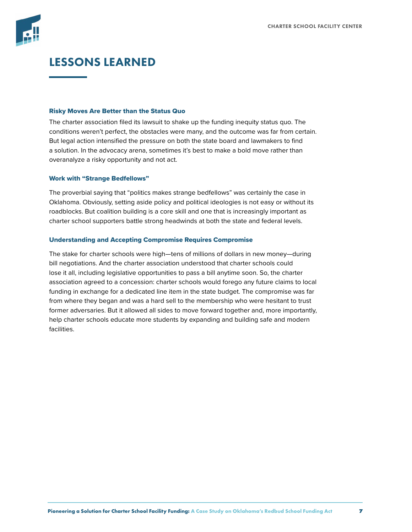

## LESSONS LEARNED

#### Risky Moves Are Better than the Status Quo

The charter association filed its lawsuit to shake up the funding inequity status quo. The conditions weren't perfect, the obstacles were many, and the outcome was far from certain. But legal action intensified the pressure on both the state board and lawmakers to find a solution. In the advocacy arena, sometimes it's best to make a bold move rather than overanalyze a risky opportunity and not act.

#### Work with "Strange Bedfellows"

The proverbial saying that "politics makes strange bedfellows" was certainly the case in Oklahoma. Obviously, setting aside policy and political ideologies is not easy or without its roadblocks. But coalition building is a core skill and one that is increasingly important as charter school supporters battle strong headwinds at both the state and federal levels.

#### Understanding and Accepting Compromise Requires Compromise

The stake for charter schools were high—tens of millions of dollars in new money—during bill negotiations. And the charter association understood that charter schools could lose it all, including legislative opportunities to pass a bill anytime soon. So, the charter association agreed to a concession: charter schools would forego any future claims to local funding in exchange for a dedicated line item in the state budget. The compromise was far from where they began and was a hard sell to the membership who were hesitant to trust former adversaries. But it allowed all sides to move forward together and, more importantly, help charter schools educate more students by expanding and building safe and modern facilities.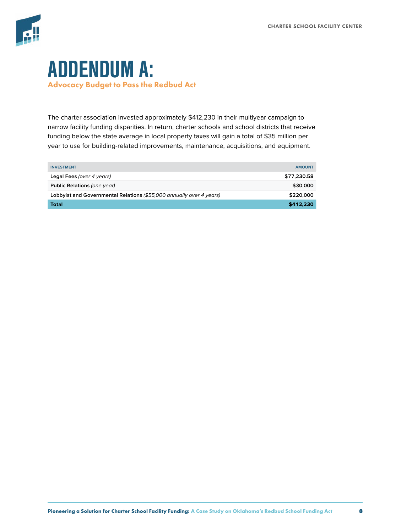

# ADDENDUM A: Advocacy Budget to Pass the Redbud Act

The charter association invested approximately \$412,230 in their multiyear campaign to narrow facility funding disparities. In return, charter schools and school districts that receive funding below the state average in local property taxes will gain a total of \$35 million per year to use for building-related improvements, maintenance, acquisitions, and equipment.

| <b>INVESTMENT</b>                                                    | <b>AMOUNT</b> |
|----------------------------------------------------------------------|---------------|
| Legal Fees (over 4 years)                                            | \$77,230.58   |
| Public Relations (one year)                                          | \$30,000      |
| Lobbyist and Governmental Relations (\$55,000 annually over 4 years) | \$220,000     |
| Total                                                                | \$412,230     |